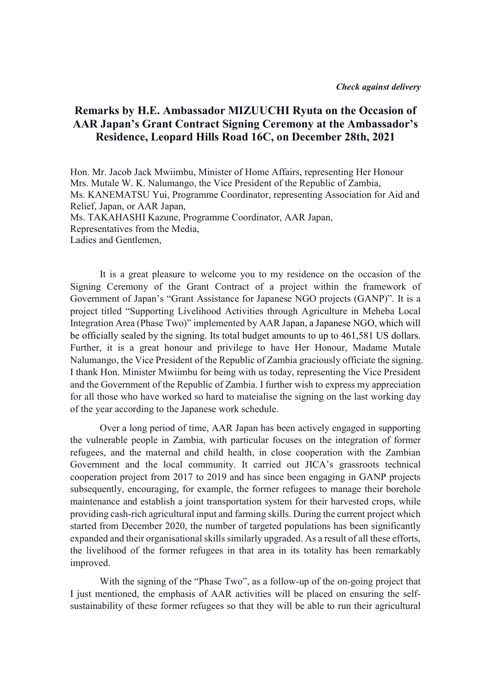## Remarks by H.E. Ambassador MIZUUCHI Ryuta on the Occasion of AAR Japan's Grant Contract Signing Ceremony at the Ambassador's Residence, Leopard Hills Road 16C, on December 28th, 2021

Hon. Mr. Jacob Jack Mwiimbu, Minister of Home Affairs, representing Her Honour Mrs. Mutale W. K. Nalumango, the Vice President of the Republic of Zambia, Ms. KANEMATSU Yui, Programme Coordinator, representing Association for Aid and Relief, Japan, or AAR Japan, Ms. TAKAHASHI Kazune, Programme Coordinator, AAR Japan, Representatives from the Media, Ladies and Gentlemen,

It is a great pleasure to welcome you to my residence on the occasion of the Signing Ceremony of the Grant Contract of a project within the framework of Government of Japan's "Grant Assistance for Japanese NGO projects (GANP)". It is a project titled "Supporting Livelihood Activities through Agriculture in Meheba Local Integration Area (Phase Two)" implemented by AAR Japan, a Japanese NGO, which will be officially sealed by the signing. Its total budget amounts to up to 461,581 US dollars. Further, it is a great honour and privilege to have Her Honour, Madame Mutale Nalumango, the Vice President of the Republic of Zambia graciously officiate the signing. I thank Hon. Minister Mwiimbu for being with us today, representing the Vice President and the Government of the Republic of Zambia. I further wish to express my appreciation for all those who have worked so hard to mateialise the signing on the last working day of the year according to the Japanese work schedule.

Over a long period of time, AAR Japan has been actively engaged in supporting the vulnerable people in Zambia, with particular focuses on the integration of former refugees, and the maternal and child health, in close cooperation with the Zambian Government and the local community. It carried out JICA's grassroots technical cooperation project from 2017 to 2019 and has since been engaging in GANP projects subsequently, encouraging, for example, the former refugees to manage their borehole maintenance and establish a joint transportation system for their harvested crops, while providing cash-rich agricultural input and farming skills. During the current project which started from December 2020, the number of targeted populations has been significantly expanded and their organisational skills similarly upgraded. As a result of all these efforts, the livelihood of the former refugees in that area in its totality has been remarkably improved.

With the signing of the "Phase Two", as a follow-up of the on-going project that I just mentioned, the emphasis of AAR activities will be placed on ensuring the selfsustainability of these former refugees so that they will be able to run their agricultural